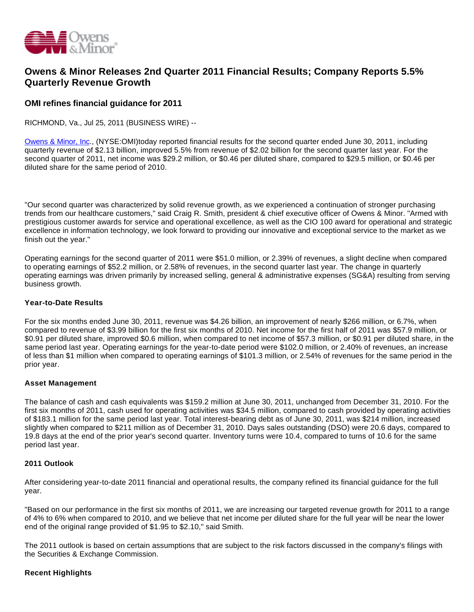

# **Owens & Minor Releases 2nd Quarter 2011 Financial Results; Company Reports 5.5% Quarterly Revenue Growth**

## **OMI refines financial guidance for 2011**

RICHMOND, Va., Jul 25, 2011 (BUSINESS WIRE) --

[Owens & Minor, Inc.](http://cts.businesswire.com/ct/CT?id=smartlink&url=http%3A%2F%2Fwww.owens-minor.com%2F&esheet=6805587&lan=en-US&anchor=Owens+%26+Minor%2C+Inc&index=1&md5=3b552706d3f57dcdeca1210a7352da6b), (NYSE:OMI)today reported financial results for the second quarter ended June 30, 2011, including quarterly revenue of \$2.13 billion, improved 5.5% from revenue of \$2.02 billion for the second quarter last year. For the second quarter of 2011, net income was \$29.2 million, or \$0.46 per diluted share, compared to \$29.5 million, or \$0.46 per diluted share for the same period of 2010.

"Our second quarter was characterized by solid revenue growth, as we experienced a continuation of stronger purchasing trends from our healthcare customers," said Craig R. Smith, president & chief executive officer of Owens & Minor. "Armed with prestigious customer awards for service and operational excellence, as well as the CIO 100 award for operational and strategic excellence in information technology, we look forward to providing our innovative and exceptional service to the market as we finish out the year."

Operating earnings for the second quarter of 2011 were \$51.0 million, or 2.39% of revenues, a slight decline when compared to operating earnings of \$52.2 million, or 2.58% of revenues, in the second quarter last year. The change in quarterly operating earnings was driven primarily by increased selling, general & administrative expenses (SG&A) resulting from serving business growth.

### **Year-to-Date Results**

For the six months ended June 30, 2011, revenue was \$4.26 billion, an improvement of nearly \$266 million, or 6.7%, when compared to revenue of \$3.99 billion for the first six months of 2010. Net income for the first half of 2011 was \$57.9 million, or \$0.91 per diluted share, improved \$0.6 million, when compared to net income of \$57.3 million, or \$0.91 per diluted share, in the same period last year. Operating earnings for the year-to-date period were \$102.0 million, or 2.40% of revenues, an increase of less than \$1 million when compared to operating earnings of \$101.3 million, or 2.54% of revenues for the same period in the prior year.

### **Asset Management**

The balance of cash and cash equivalents was \$159.2 million at June 30, 2011, unchanged from December 31, 2010. For the first six months of 2011, cash used for operating activities was \$34.5 million, compared to cash provided by operating activities of \$183.1 million for the same period last year. Total interest-bearing debt as of June 30, 2011, was \$214 million, increased slightly when compared to \$211 million as of December 31, 2010. Days sales outstanding (DSO) were 20.6 days, compared to 19.8 days at the end of the prior year's second quarter. Inventory turns were 10.4, compared to turns of 10.6 for the same period last year.

### **2011 Outlook**

After considering year-to-date 2011 financial and operational results, the company refined its financial guidance for the full year.

"Based on our performance in the first six months of 2011, we are increasing our targeted revenue growth for 2011 to a range of 4% to 6% when compared to 2010, and we believe that net income per diluted share for the full year will be near the lower end of the original range provided of \$1.95 to \$2.10," said Smith.

The 2011 outlook is based on certain assumptions that are subject to the risk factors discussed in the company's filings with the Securities & Exchange Commission.

### **Recent Highlights**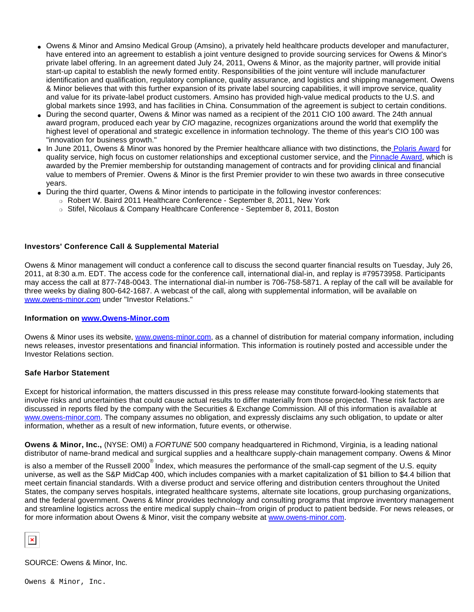- Owens & Minor and Amsino Medical Group (Amsino), a privately held healthcare products developer and manufacturer, have entered into an agreement to establish a joint venture designed to provide sourcing services for Owens & Minor's private label offering. In an agreement dated July 24, 2011, Owens & Minor, as the majority partner, will provide initial start-up capital to establish the newly formed entity. Responsibilities of the joint venture will include manufacturer identification and qualification, regulatory compliance, quality assurance, and logistics and shipping management. Owens & Minor believes that with this further expansion of its private label sourcing capabilities, it will improve service, quality and value for its private-label product customers. Amsino has provided high-value medical products to the U.S. and global markets since 1993, and has facilities in China. Consummation of the agreement is subject to certain conditions.
- During the second quarter, Owens & Minor was named as a recipient of the 2011 CIO 100 award. The 24th annual award program, produced each year by CIO magazine, recognizes organizations around the world that exemplify the highest level of operational and strategic excellence in information technology. The theme of this year's CIO 100 was "innovation for business growth."
- In June 2011, Owens & Minor was honored by the Premier healthcare alliance with two distinctions, the [Polaris Award](http://cts.businesswire.com/ct/CT?id=smartlink&url=http%3A%2F%2Fpremierinc.com%2Fabout%2Fnews%2Fawards%2Findex.jsp%23polaris&esheet=6805587&lan=en-US&anchor=+Polaris+Award&index=2&md5=a5c156307f0078141bfcb506cf24650a) for quality service, high focus on customer relationships and exceptional customer service, and the [Pinnacle Award](http://cts.businesswire.com/ct/CT?id=smartlink&url=http%3A%2F%2Fpremierinc.com%2Fabout%2Fnews%2Fawards%2Findex.jsp%23supplier&esheet=6805587&lan=en-US&anchor=Pinnacle+Award&index=3&md5=2e8c8b7431a0785fe75c1ec8f05cd918), which is awarded by the Premier membership for outstanding management of contracts and for providing clinical and financial value to members of Premier. Owens & Minor is the first Premier provider to win these two awards in three consecutive years.
- During the third quarter, Owens & Minor intends to participate in the following investor conferences:
	- ❍ Robert W. Baird 2011 Healthcare Conference September 8, 2011, New York
	- ❍ Stifel, Nicolaus & Company Healthcare Conference September 8, 2011, Boston

#### **Investors' Conference Call & Supplemental Material**

Owens & Minor management will conduct a conference call to discuss the second quarter financial results on Tuesday, July 26, 2011, at 8:30 a.m. EDT. The access code for the conference call, international dial-in, and replay is #79573958. Participants may access the call at 877-748-0043. The international dial-in number is 706-758-5871. A replay of the call will be available for three weeks by dialing 800-642-1687. A webcast of the call, along with supplemental information, will be available on [www.owens-minor.com](http://cts.businesswire.com/ct/CT?id=smartlink&url=http%3A%2F%2Fwww.owens-minor.com&esheet=6805587&lan=en-US&anchor=www.owens-minor.com&index=4&md5=de7b08b03de8fc1cc11d132c9a309a91) under "Investor Relations."

### **Information on [www.Owens-Minor.com](http://cts.businesswire.com/ct/CT?id=smartlink&url=http%3A%2F%2Fwww.Owens-Minor.com&esheet=6805587&lan=en-US&anchor=www.Owens-Minor.com&index=5&md5=2e723b41ef7b433f27cf2221f0287369)**

Owens & Minor uses its website, [www.owens-minor.com,](http://cts.businesswire.com/ct/CT?id=smartlink&url=http%3A%2F%2Fwww.owens-minor.com&esheet=6805587&lan=en-US&anchor=www.owens-minor.com&index=6&md5=04098b89b3ad65ed3771d8eea1d41369) as a channel of distribution for material company information, including news releases, investor presentations and financial information. This information is routinely posted and accessible under the Investor Relations section.

#### **Safe Harbor Statement**

Except for historical information, the matters discussed in this press release may constitute forward-looking statements that involve risks and uncertainties that could cause actual results to differ materially from those projected. These risk factors are discussed in reports filed by the company with the Securities & Exchange Commission. All of this information is available at [www.owens-minor.com.](http://cts.businesswire.com/ct/CT?id=smartlink&url=http%3A%2F%2Fwww.owens-minor.com&esheet=6805587&lan=en-US&anchor=www.owens-minor.com&index=7&md5=e70ba5efb6b49d507ee25e35b165740c) The company assumes no obligation, and expressly disclaims any such obligation, to update or alter information, whether as a result of new information, future events, or otherwise.

**Owens & Minor, Inc.,** (NYSE: OMI) a FORTUNE 500 company headquartered in Richmond, Virginia, is a leading national distributor of name-brand medical and surgical supplies and a healthcare supply-chain management company. Owens & Minor

is also a member of the Russell 2000  $^\circ$  Index, which measures the performance of the small-cap segment of the U.S. equity universe, as well as the S&P MidCap 400, which includes companies with a market capitalization of \$1 billion to \$4.4 billion that meet certain financial standards. With a diverse product and service offering and distribution centers throughout the United States, the company serves hospitals, integrated healthcare systems, alternate site locations, group purchasing organizations, and the federal government. Owens & Minor provides technology and consulting programs that improve inventory management and streamline logistics across the entire medical supply chain--from origin of product to patient bedside. For news releases, or for more information about Owens & Minor, visit the company website at [www.owens-minor.com.](http://cts.businesswire.com/ct/CT?id=smartlink&url=http%3A%2F%2Fwww.owens-minor.com&esheet=6805587&lan=en-US&anchor=www.owens-minor.com&index=8&md5=f1cf1cfff55e92e5eba863d7f82c61d8)

SOURCE: Owens & Minor, Inc.